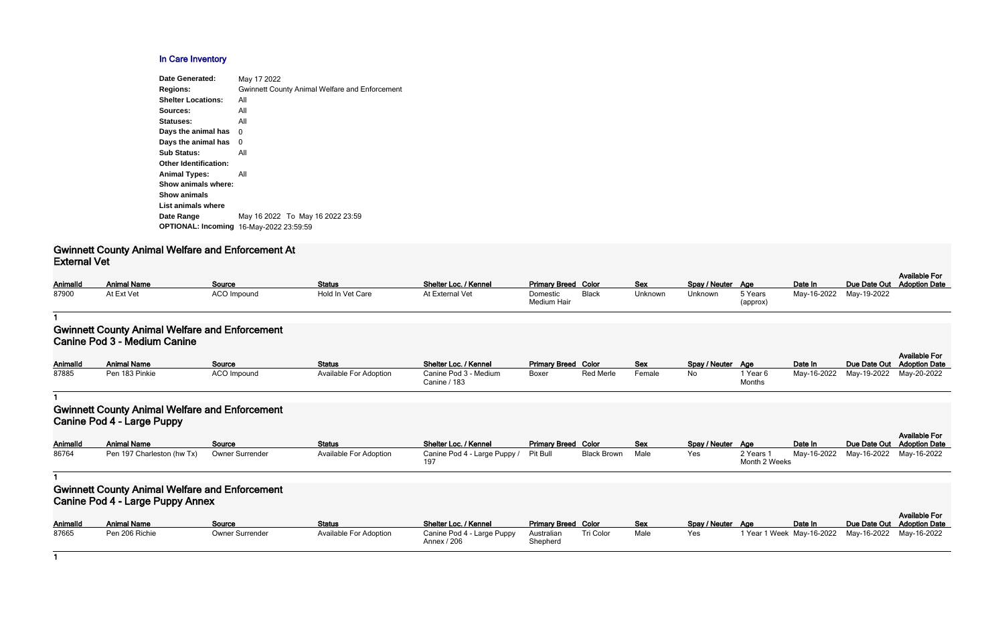#### **In Care Inventory**

| <b>Date Generated:</b>       | May 17 2022                                           |
|------------------------------|-------------------------------------------------------|
| <b>Regions:</b>              | <b>Gwinnett County Animal Welfare and Enforcement</b> |
| <b>Shelter Locations:</b>    | All                                                   |
| Sources:                     | All                                                   |
| Statuses:                    | All                                                   |
| Days the animal has          | 0                                                     |
| Days the animal has          | 0                                                     |
| <b>Sub Status:</b>           | All                                                   |
| <b>Other Identification:</b> |                                                       |
| <b>Animal Types:</b>         | All                                                   |
| Show animals where:          |                                                       |
| <b>Show animals</b>          |                                                       |
| List animals where           |                                                       |
| Date Range                   | May 16 2022 To May 16 2022 23:59                      |
| <b>OPTIONAL: Incoming</b>    | 16-May-2022 23:59:59                                  |

#### **Gwinnett County Animal Welfare and Enforcement At External Vet**

| AnimalId | <b>Animal Name</b> | Source             | <b>Status</b>    | Shelter Loc. / Kennel | <b>Primary Breed Color</b> |              | <b>Sex</b> | Spay / Neuter Age |                     | Date In                 | Due Date Out Adoption Date | <b>Available For</b> |
|----------|--------------------|--------------------|------------------|-----------------------|----------------------------|--------------|------------|-------------------|---------------------|-------------------------|----------------------------|----------------------|
| 87900    | At Ext Vet         | <b>ACO Impound</b> | Hold In Vet Care | At External Vet       | Domestic<br>Medium Hair    | <b>Black</b> | Unknown    | Unknown           | 5 Years<br>(approx) | May-16-2022 May-19-2022 |                            |                      |

#### **1**

#### **Gwinnett County Animal Welfare and Enforcement Canine Pod 3 - Medium Canine**

| <b>AnimalId</b> | <b>Animal Name</b> | Source             | <b>Status</b>                 | Shelter Loc. / Kennel                 | <b>Primary Breed Color</b> |           | <b>Sex</b> | Spay / Neuter Age |                               | Date In     | Due Date Out |
|-----------------|--------------------|--------------------|-------------------------------|---------------------------------------|----------------------------|-----------|------------|-------------------|-------------------------------|-------------|--------------|
| 87885           | Pen 183 Pinkie     | <b>ACO Impound</b> | <b>Available For Adoption</b> | Canine Pod 3 - Medium<br>Canine / 183 | Boxer                      | Red Merle | Female     | No                | <sup>1</sup> Year 6<br>Months | May-16-2022 | May-19-2022  |

#### **1**

## **Gwinnett County Animal Welfare and Enforcement Canine Pod 4 - Large Puppy**

| Animalld | <b>Animal Name</b>         | Source          | <b>Status</b>                 | Shelter Loc. / Kennel        | <b>Primary Breed Color</b> |             | <b>Sex</b> | Spay / Neuter Age |               | Date In     | Due Date Out |
|----------|----------------------------|-----------------|-------------------------------|------------------------------|----------------------------|-------------|------------|-------------------|---------------|-------------|--------------|
| 86764    | Pen 197 Charleston (hw Tx) | Owner Surrender | <b>Available For Adoption</b> | Canine Pod 4 - Large Puppy / | Pit Bull                   | Black Brown | Male       | Yes               | 2 Years 1     | May-16-2022 | May-16-2022  |
|          |                            |                 |                               | 197                          |                            |             |            |                   | Month 2 Weeks |             |              |

| Color              | <b>Sex</b> | Spay / Neuter | <b>Age</b>                 | Date In     | Due Date Out | <b>Available For</b><br><b>Adoption Date</b> |
|--------------------|------------|---------------|----------------------------|-------------|--------------|----------------------------------------------|
| Red Merle          | Female     | No            | 1 Year 6<br>Months         | May-16-2022 | May-19-2022  | May-20-2022                                  |
|                    |            |               |                            |             |              |                                              |
| Color              | <b>Sex</b> | Spay / Neuter | <b>Age</b>                 | Date In     | Due Date Out | <b>Available For</b><br><b>Adoption Date</b> |
| <b>Black Brown</b> | Male       | Yes           | 2 Years 1<br>Month 2 Weeks | May-16-2022 | May-16-2022  | May-16-2022                                  |
|                    |            |               |                            |             |              |                                              |
| Color              | <b>Sex</b> | Spay / Neuter | Age                        | Date In     | Due Date Out | <b>Available For</b><br><b>Adoption Date</b> |
| Tri Color          | Male       | Yes           | 1 Year 1 Week May-16-2022  |             | May-16-2022  | May-16-2022                                  |

**1**

## **Gwinnett County Animal Welfare and Enforcement Canine Pod 4 - Large Puppy Annex**

| <b>AnimalId</b> | <b>Animal Name</b> | Source          | <b>Status</b>                 | Shelter Loc. / Kennel                     | <b>Primary Breed Color</b> |           | Sex  | Spay / Neuter Age | Date In                               | Due Date Out |
|-----------------|--------------------|-----------------|-------------------------------|-------------------------------------------|----------------------------|-----------|------|-------------------|---------------------------------------|--------------|
| 87665           | Pen 206 Richie     | Owner Surrender | <b>Available For Adoption</b> | Canine Pod 4 - Large Puppy<br>Annex / 206 | Australian<br>Shepherd     | Tri Color | Male | Yes               | 1 Year 1 Week May-16-2022 May-16-2022 |              |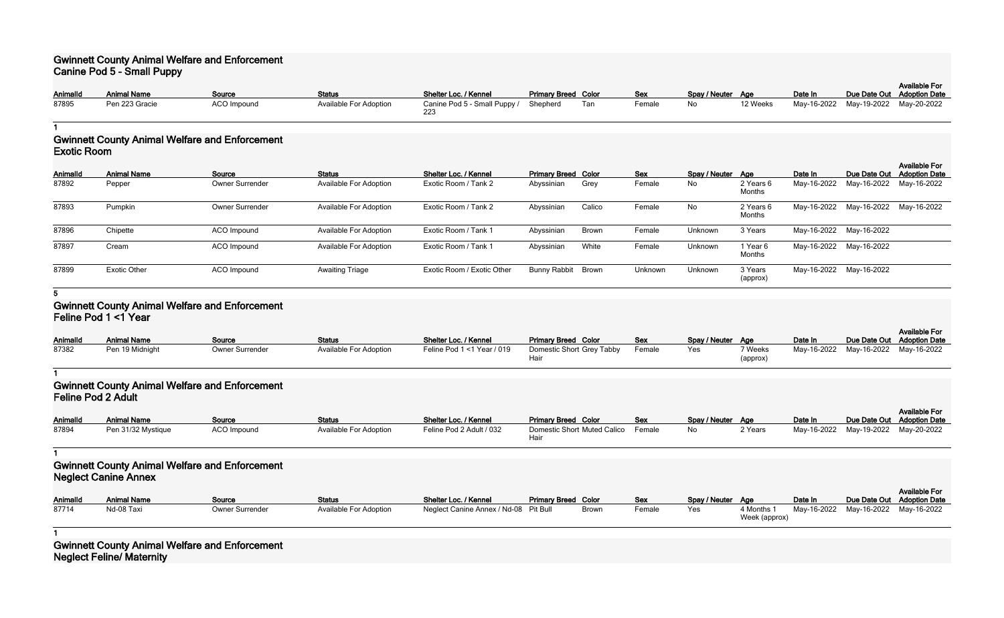## **Gwinnett County Animal Welfare and Enforcement Canine Pod 5 - Small Puppy**

| <b>AnimalId</b> | <b>Animal Name</b> | Source             | <b>Status</b>                 | Shelter Loc. / Kennel        | <b>Primary Breed Color</b> |     | <b>Sex</b> | Spay / Neuter Age |          | Date In |                                     | <b>Available For</b><br>Due Date Out Adoption Date |
|-----------------|--------------------|--------------------|-------------------------------|------------------------------|----------------------------|-----|------------|-------------------|----------|---------|-------------------------------------|----------------------------------------------------|
| 87895           | Pen 223 Gracie     | <b>ACO Impound</b> | <b>Available For Adoption</b> | Canine Pod 5 - Small Puppy / | Shepherd                   | Tan | Female     | No                | 12 Weeks |         | May-16-2022 May-19-2022 May-20-2022 |                                                    |

**1**

## **Gwinnett County Animal Welfare and Enforcement Exotic Room**

| <b>AnimalId</b> | <b>Animal Name</b>  | Source          | <b>Status</b>                 | Shelter Loc. / Kennel      | <b>Primary Breed Color</b> |              | Sex     | Spay / Neuter Age |                     | Date In                 |                                     | <b>Available For</b><br>Due Date Out Adoption Date |
|-----------------|---------------------|-----------------|-------------------------------|----------------------------|----------------------------|--------------|---------|-------------------|---------------------|-------------------------|-------------------------------------|----------------------------------------------------|
| 87892           | Pepper              | Owner Surrender | <b>Available For Adoption</b> | Exotic Room / Tank 2       | Abyssinian                 | Grey         | Female  | No                | 2 Years 6<br>Months | May-16-2022             | May-16-2022 May-16-2022             |                                                    |
| 87893           | Pumpkin             | Owner Surrender | <b>Available For Adoption</b> | Exotic Room / Tank 2       | Abyssinian                 | Calico       | Female  | No                | 2 Years 6<br>Months |                         | May-16-2022 May-16-2022 May-16-2022 |                                                    |
| 87896           | Chipette            | ACO Impound     | <b>Available For Adoption</b> | Exotic Room / Tank 1       | Abyssinian                 | <b>Brown</b> | Female  | Unknown           | 3 Years             | May-16-2022 May-16-2022 |                                     |                                                    |
| 87897           | Cream               | ACO Impound     | <b>Available For Adoption</b> | Exotic Room / Tank 1       | Abyssinian                 | White        | Female  | Unknown           | l Year 6<br>Months  | May-16-2022 May-16-2022 |                                     |                                                    |
| 87899           | <b>Exotic Other</b> | ACO Impound     | <b>Awaiting Triage</b>        | Exotic Room / Exotic Other | <b>Bunny Rabbit</b>        | Brown        | Unknown | Unknown           | 3 Years<br>(approx) |                         | May-16-2022 May-16-2022             |                                                    |

**5**

## **Gwinnett County Animal Welfare and Enforcement Feline Pod 1 <1 Year**

| <b>AnimalId</b> | <b>Animal Name</b> | Source                 | <b>Status</b>                 | Shelter Loc. / Kennel      | <b>Primary Breed Color</b>        | <b>Sex</b> | Spay / Neuter Age |                     | Date In |                                     | <b>Available For</b><br>Due Date Out Adoption Date |
|-----------------|--------------------|------------------------|-------------------------------|----------------------------|-----------------------------------|------------|-------------------|---------------------|---------|-------------------------------------|----------------------------------------------------|
| 87382           | Pen 19 Midnight    | <b>Owner Surrender</b> | <b>Available For Adoption</b> | Feline Pod 1 <1 Year / 019 | Domestic Short Grey Tabby<br>Haii | Female     | Yes               | 7 Weeks<br>(approx) |         | May-16-2022 May-16-2022 May-16-2022 |                                                    |

**1**

## **Gwinnett County Animal Welfare and Enforcement Feline Pod 2 Adult**

|                 |                    |             |                               |                          |                                    |            |                   |         |         |                                     | <b>Available For</b>       |
|-----------------|--------------------|-------------|-------------------------------|--------------------------|------------------------------------|------------|-------------------|---------|---------|-------------------------------------|----------------------------|
| <b>AnimalId</b> | <b>Animal Name</b> | Source      | <b>Status</b>                 | Shelter Loc. / Kennel    | <b>Primary Breed Color</b>         | <b>Sex</b> | Spay / Neuter Age |         | Date In |                                     | Due Date Out Adoption Date |
| 87894           | Pen 31/32 Mystique | ACO Impound | <b>Available For Adoption</b> | Feline Pod 2 Adult / 032 | Domestic Short Muted Calico Female |            | No                | 2 Years |         | May-16-2022 May-19-2022 May-20-2022 |                            |
|                 |                    |             |                               |                          | Haiı                               |            |                   |         |         |                                     |                            |

**1**

# **Gwinnett County Animal Welfare and Enforcement Neglect Canine Annex**

| <b>AnimalId</b> | <b>Animal Name</b> | Source          | Status                 | Shelter Loc. / Kennel                 | <b>Primary Breed Color</b> |              | <b>Sex</b> | Spay / Neuter Age |            | Date In                 | Due Date Out |
|-----------------|--------------------|-----------------|------------------------|---------------------------------------|----------------------------|--------------|------------|-------------------|------------|-------------------------|--------------|
| 87714           | Nd-08 Taxi         | Owner Surrender | Available For Adoption | Neglect Canine Annex / Nd-08 Pit Bull |                            | <b>Brown</b> | Female     | Yes               | 4 Months 1 | May-16-2022 May-16-2022 |              |

| Spay / Neuter | Aae                         | Date In     | Due Date Out | <b>Available For</b><br><b>Adoption Date</b> |
|---------------|-----------------------------|-------------|--------------|----------------------------------------------|
| Yes           | 4 Months 1<br>Week (approx) | Mav-16-2022 | May-16-2022  | May-16-2022                                  |

**1**

**Gwinnett County Animal Welfare and Enforcement Neglect Feline/ Maternity**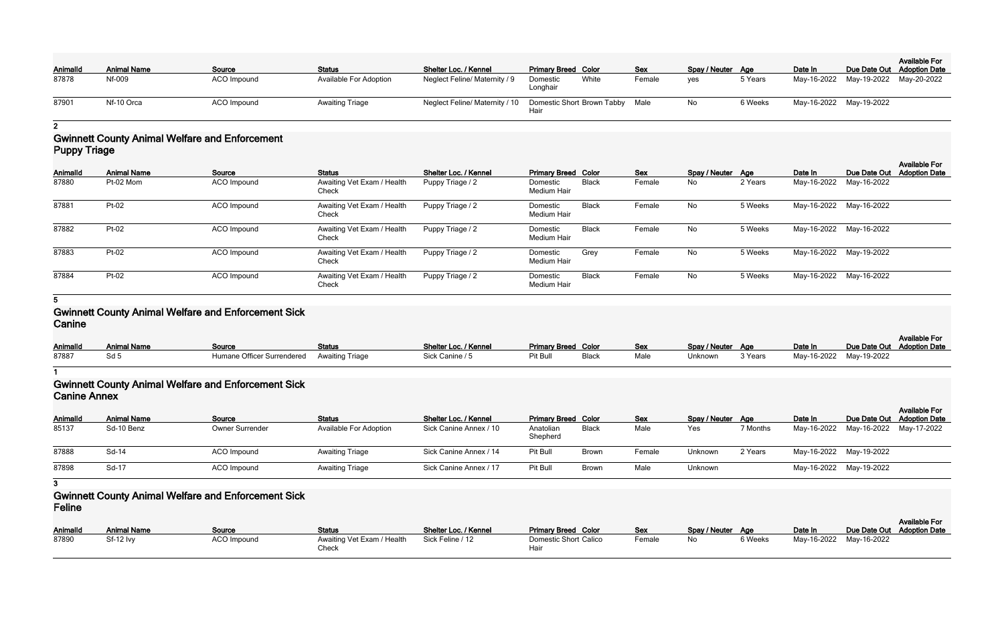| <b>Animalld</b> | <b>Animal Name</b> | Source             | <b>Status</b>                 | Shelter Loc. / Kennel                                          | <b>Primary Breed Color</b>    | <b>Sex</b> |        | Spay / Neuter Age |         | Date In                 | Due Date Out Adoption Date          | <b>Available For</b> |
|-----------------|--------------------|--------------------|-------------------------------|----------------------------------------------------------------|-------------------------------|------------|--------|-------------------|---------|-------------------------|-------------------------------------|----------------------|
| 87878           | Nf-009             | <b>ACO</b> Impound | <b>Available For Adoption</b> | Neglect Feline/ Maternity / 9                                  | White<br>Domestic<br>Longhair |            | Female | <b>ves</b>        | 5 Years |                         | May-16-2022 May-19-2022 May-20-2022 |                      |
| 87901           | Nf-10 Orca         | ACO Impound        | <b>Awaiting Triage</b>        | Neglect Feline/ Maternity / 10 Domestic Short Brown Tabby Male | Hair                          |            |        | No                | 6 Weeks | May-16-2022 May-19-2022 |                                     |                      |

# **2**

#### **Gwinnett County Animal Welfare and Enforcement Puppy Triage**

| Animalld | <b>Animal Name</b> | Source      | <b>Status</b>                       | Shelter Loc. / Kennel | <b>Primary Breed Color</b>     |              | <b>Sex</b> | Spay / Neuter Age |         | Date In                 | Due Date Out            | <b>Available For</b><br><b>Adoption Date</b> |
|----------|--------------------|-------------|-------------------------------------|-----------------------|--------------------------------|--------------|------------|-------------------|---------|-------------------------|-------------------------|----------------------------------------------|
| 87880    | Pt-02 Mom          | ACO Impound | Awaiting Vet Exam / Health<br>Check | Puppy Triage / 2      | Domestic<br><b>Medium Hair</b> | Black        | Female     | No                | 2 Years | May-16-2022 May-16-2022 |                         |                                              |
| 87881    | Pt-02              | ACO Impound | Awaiting Vet Exam / Health<br>Check | Puppy Triage / 2      | Domestic<br>Medium Hair        | <b>Black</b> | Female     | No                | 5 Weeks |                         | May-16-2022 May-16-2022 |                                              |
| 87882    | Pt-02              | ACO Impound | Awaiting Vet Exam / Health<br>Check | Puppy Triage / 2      | Domestic<br><b>Medium Hair</b> | <b>Black</b> | Female     | No                | 5 Weeks | May-16-2022 May-16-2022 |                         |                                              |
| 87883    | Pt-02              | ACO Impound | Awaiting Vet Exam / Health<br>Check | Puppy Triage / 2      | Domestic<br>Medium Hair        | Grey         | Female     | No                | 5 Weeks |                         | May-16-2022 May-19-2022 |                                              |
| 87884    | Pt-02              | ACO Impound | Awaiting Vet Exam / Health<br>Check | Puppy Triage / 2      | Domestic<br><b>Medium Hair</b> | <b>Black</b> | Female     | No                | 5 Weeks |                         | May-16-2022 May-16-2022 |                                              |

#### **5**

#### **Gwinnett County Animal Welfare and Enforcement Sick Canine**

|                 |                    |                                            |               |                       |                            |       |      |                   |         |         |                            | <b>Available For</b> |
|-----------------|--------------------|--------------------------------------------|---------------|-----------------------|----------------------------|-------|------|-------------------|---------|---------|----------------------------|----------------------|
| <b>AnimalId</b> | <b>Animal Name</b> | Source                                     | <b>Status</b> | Shelter Loc. / Kennel | <b>Primary Breed Color</b> |       | Sex  | Spay / Neuter Age |         | Date In | Due Date Out Adoption Date |                      |
| 87887           |                    | Humane Officer Surrendered Awaiting Triage |               | Sick Canine / 5       | Pit Bull                   | Black | Male | Unknown           | 3 Years |         | May-16-2022 May-19-2022    |                      |

**1**

## **Gwinnett County Animal Welfare and Enforcement Sick Canine Annex**

| AnimalId | <b>Animal Name</b> | Source                 | <b>Status</b>                 | Shelter Loc. / Kennel  | <b>Primary Breed Color</b> |              | Sex    | Spay / Neuter Age |          | Date In                             | <b>Available For</b><br>Due Date Out Adoption Date |
|----------|--------------------|------------------------|-------------------------------|------------------------|----------------------------|--------------|--------|-------------------|----------|-------------------------------------|----------------------------------------------------|
| 85137    | Sd-10 Benz         | <b>Owner Surrender</b> | <b>Available For Adoption</b> | Sick Canine Annex / 10 | Anatolian<br>Shepherd      | Black        | Male   | Yes               | 7 Months | May-16-2022 May-16-2022 May-17-2022 |                                                    |
| 87888    | Sd-14              | ACO Impound            | <b>Awaiting Triage</b>        | Sick Canine Annex / 14 | Pit Bull                   | <b>Browr</b> | Female | Unknown           | 2 Years  | May-16-2022 May-19-2022             |                                                    |
| 87898    | Sd-17              | ACO Impound            | <b>Awaiting Triage</b>        | Sick Canine Annex / 17 | Pit Bull                   | <b>Browr</b> | Male   | Unknown           |          | May-16-2022 May-19-2022             |                                                    |

**3**

### **Gwinnett County Animal Welfare and Enforcement Sick Feline**

| .               |                    |                    |                                     |                       |                                      |            |                   |         |                         |                            |                      |
|-----------------|--------------------|--------------------|-------------------------------------|-----------------------|--------------------------------------|------------|-------------------|---------|-------------------------|----------------------------|----------------------|
|                 |                    |                    |                                     |                       |                                      |            |                   |         |                         |                            | <b>Available For</b> |
| <b>AnimalId</b> | <b>Animal Name</b> | Source             | <b>Status</b>                       | Shelter Loc. / Kennel | <b>Primary Breed Color</b>           | <u>Sex</u> | Spay / Neuter Age |         | Date In                 | Due Date Out Adoption Date |                      |
| 87890           | Sf-12 lvy          | <b>ACO Impound</b> | Awaiting Vet Exam / Health<br>Check | Sick Feline / 12      | <b>Domestic Short Calico</b><br>Hair | Female     | No.               | 6 Weeks | May-16-2022 May-16-2022 |                            |                      |